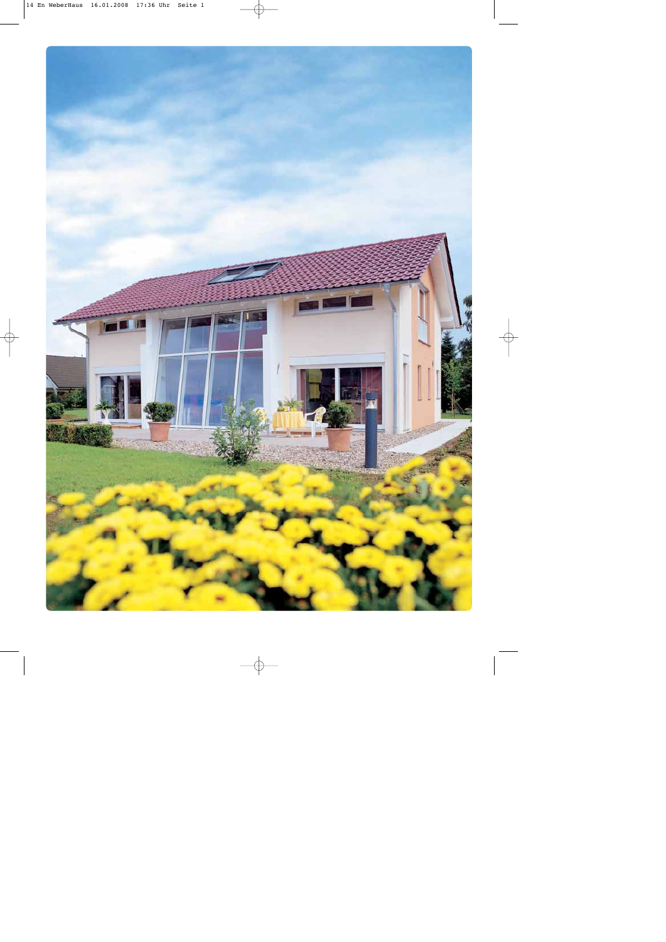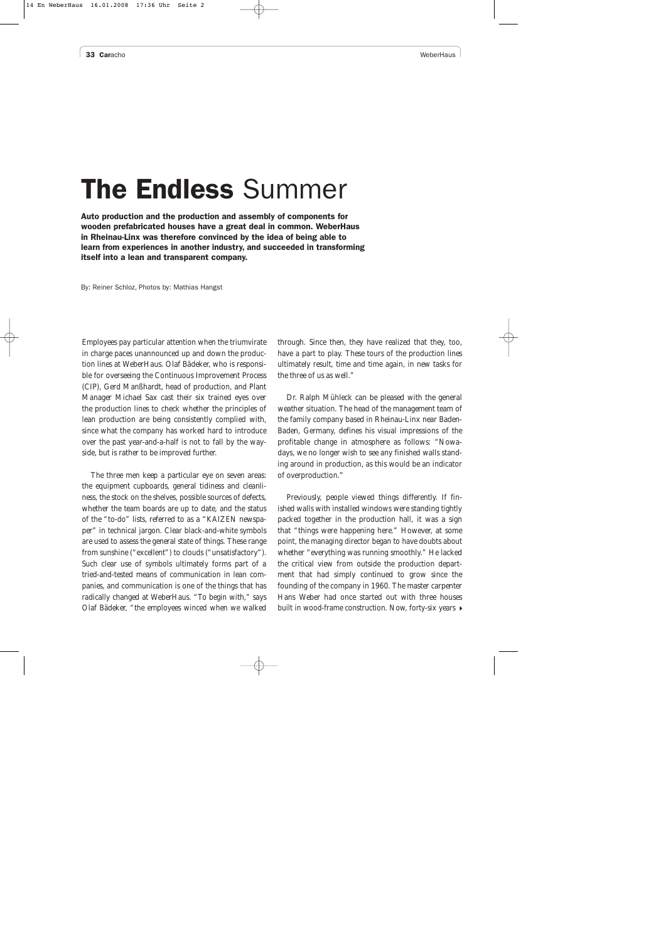## **The Endless** Summer

**Auto production and the production and assembly of components for wooden prefabricated houses have a great deal in common. WeberHaus in Rheinau-Linx was therefore convinced by the idea of being able to learn from experiences in another industry, and succeeded in transforming itself into a lean and transparent company.**

By: Reiner Schloz, Photos by: Mathias Hangst

Employees pay particular attention when the triumvirate in charge paces unannounced up and down the production lines at WeberHaus. Olaf Bädeker, who is responsible for overseeing the Continuous Improvement Process (CIP), Gerd Manßhardt, head of production, and Plant Manager Michael Sax cast their six trained eyes over the production lines to check whether the principles of lean production are being consistently complied with, since what the company has worked hard to introduce over the past year-and-a-half is not to fall by the wayside, but is rather to be improved further.

The three men keep a particular eye on seven areas: the equipment cupboards, general tidiness and cleanliness, the stock on the shelves, possible sources of defects, whether the team boards are up to date, and the status of the "to-do" lists, referred to as a "KAIZEN newspaper" in technical jargon. Clear black-and-white symbols are used to assess the general state of things. These range from sunshine ("excellent") to clouds ("unsatisfactory"). Such clear use of symbols ultimately forms part of a tried-and-tested means of communication in lean companies, and communication is one of the things that has radically changed at WeberHaus. "To begin with," says Olaf Bädeker, "the employees winced when we walked through. Since then, they have realized that they, too, have a part to play. These tours of the production lines ultimately result, time and time again, in new tasks for the three of us as well."

Dr. Ralph Mühleck can be pleased with the general weather situation. The head of the management team of the family company based in Rheinau-Linx near Baden-Baden, Germany, defines his visual impressions of the profitable change in atmosphere as follows: "Nowadays, we no longer wish to see any finished walls standing around in production, as this would be an indicator of overproduction."

Previously, people viewed things differently. If finished walls with installed windows were standing tightly packed together in the production hall, it was a sign that "things were happening here." However, at some point, the managing director began to have doubts about whether "everything was running smoothly." He lacked the critical view from outside the production department that had simply continued to grow since the founding of the company in 1960. The master carpenter Hans Weber had once started out with three houses built in wood-frame construction. Now, forty-six years  $\rightarrow$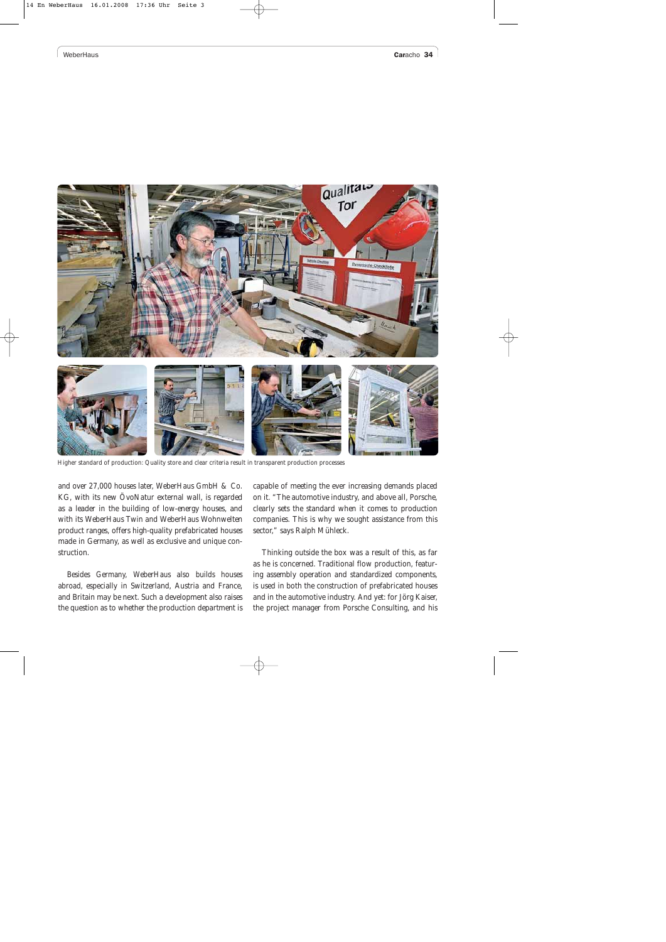

Higher standard of production: Quality store and clear criteria result in transparent production processes

and over 27,000 houses later, WeberHaus GmbH & Co. KG, with its new ÖvoNatur external wall, is regarded as a leader in the building of low-energy houses, and with its WeberHaus Twin and WeberHaus Wohnwelten product ranges, offers high-quality prefabricated houses made in Germany, as well as exclusive and unique construction.

Besides Germany, WeberHaus also builds houses abroad, especially in Switzerland, Austria and France, and Britain may be next. Such a development also raises the question as to whether the production department is capable of meeting the ever increasing demands placed on it. "The automotive industry, and above all, Porsche, clearly sets the standard when it comes to production companies. This is why we sought assistance from this sector," says Ralph Mühleck.

Thinking outside the box was a result of this, as far as he is concerned. Traditional flow production, featuring assembly operation and standardized components, is used in both the construction of prefabricated houses and in the automotive industry. And yet: for Jörg Kaiser, the project manager from Porsche Consulting, and his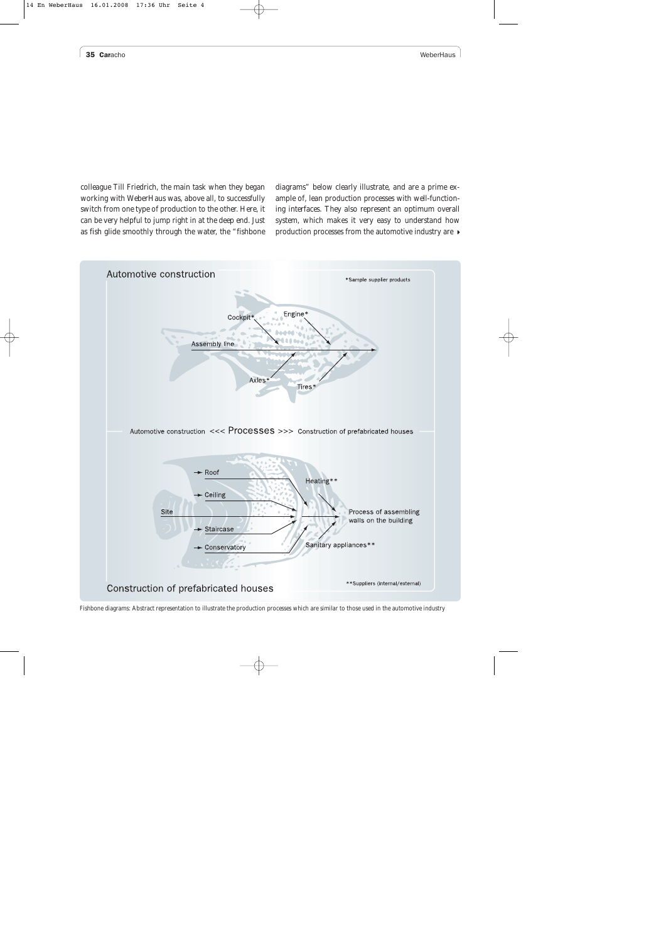colleague Till Friedrich, the main task when they began working with WeberHaus was, above all, to successfully switch from one type of production to the other. Here, it can be very helpful to jump right in at the deep end. Just as fish glide smoothly through the water, the "fishbone

diagrams" below clearly illustrate, and are a prime example of, lean production processes with well-functioning interfaces. They also represent an optimum overall system, which makes it very easy to understand how production processes from the automotive industry are  $\rightarrow$ 



Fishbone diagrams: Abstract representation to illustrate the production processes which are similar to those used in the automotive industry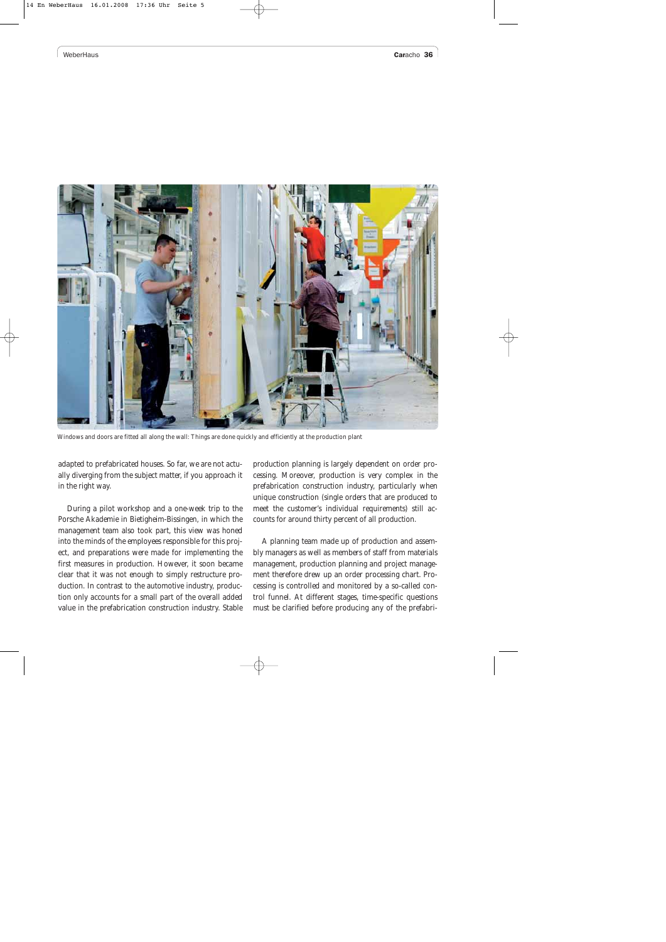

Windows and doors are fitted all along the wall: Things are done quickly and efficiently at the production plant

adapted to prefabricated houses. So far, we are not actually diverging from the subject matter, if you approach it in the right way.

During a pilot workshop and a one-week trip to the Porsche Akademie in Bietigheim-Bissingen, in which the management team also took part, this view was honed into the minds of the employees responsible for this project, and preparations were made for implementing the first measures in production. However, it soon became clear that it was not enough to simply restructure production. In contrast to the automotive industry, production only accounts for a small part of the overall added value in the prefabrication construction industry. Stable production planning is largely dependent on order processing. Moreover, production is very complex in the prefabrication construction industry, particularly when unique construction (single orders that are produced to meet the customer's individual requirements) still accounts for around thirty percent of all production.

A planning team made up of production and assembly managers as well as members of staff from materials management, production planning and project management therefore drew up an order processing chart. Processing is controlled and monitored by a so-called control funnel. At different stages, time-specific questions must be clarified before producing any of the prefabri